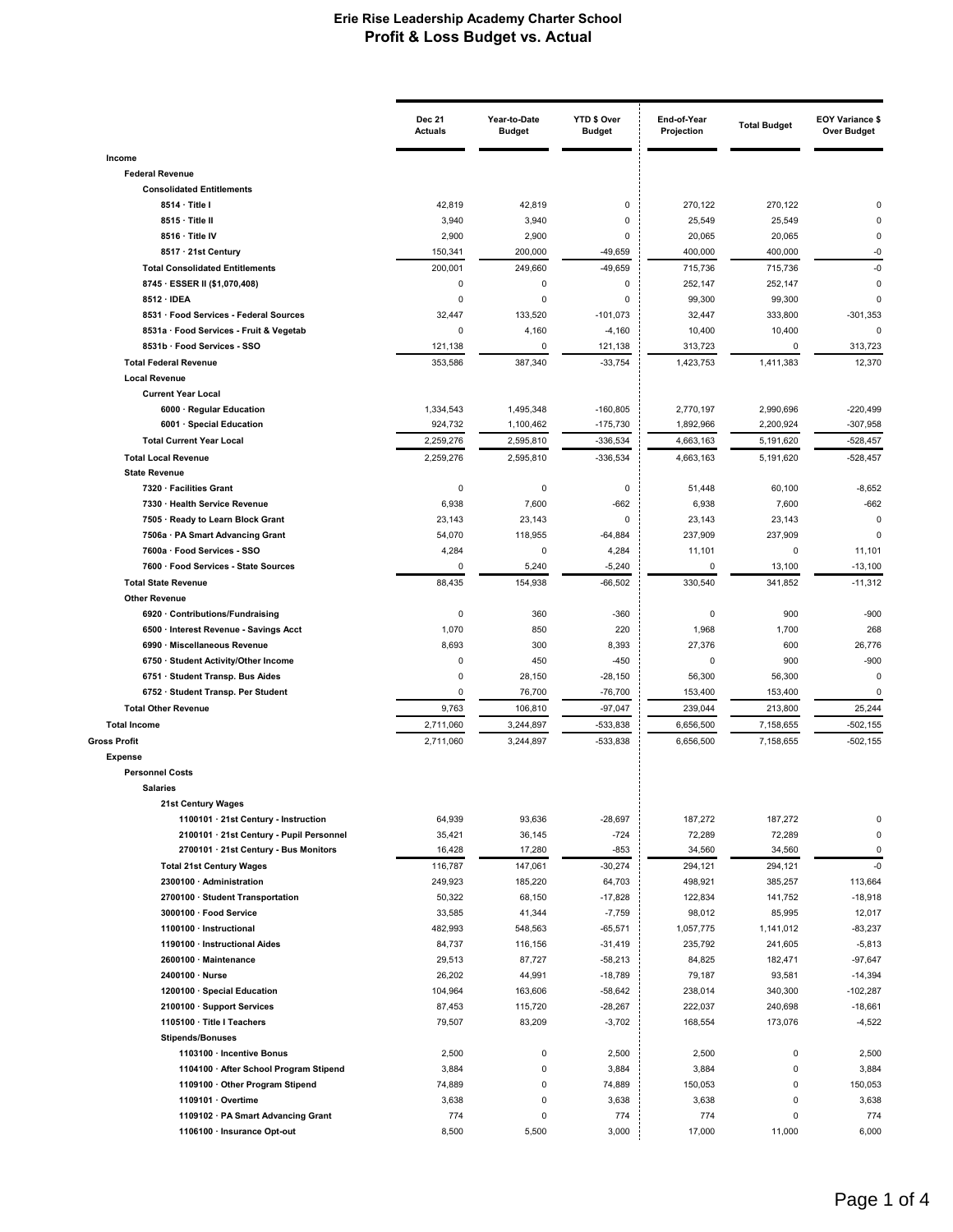|                                                             | <b>Dec 21</b><br><b>Actuals</b> | Year-to-Date<br><b>Budget</b> | YTD \$ Over<br><b>Budget</b> | End-of-Year<br>Projection | <b>Total Budget</b> | <b>EOY Variance \$</b><br><b>Over Budget</b> |
|-------------------------------------------------------------|---------------------------------|-------------------------------|------------------------------|---------------------------|---------------------|----------------------------------------------|
| Income                                                      |                                 |                               |                              |                           |                     |                                              |
| <b>Federal Revenue</b>                                      |                                 |                               |                              |                           |                     |                                              |
| <b>Consolidated Entitlements</b>                            |                                 |                               |                              |                           |                     |                                              |
| 8514 · Title I                                              | 42,819                          | 42,819                        | 0                            | 270,122                   | 270,122             |                                              |
| 8515 · Title II                                             | 3,940                           | 3,940                         | 0                            | 25,549                    | 25,549              |                                              |
| 8516 · Title IV                                             | 2,900                           | 2,900                         | $\overline{0}$               | 20,065                    | 20,065              | 0                                            |
| 8517 · 21st Century                                         | 150,341                         | 200,000                       | $-49,659$                    | 400,000                   | 400,000             | -0                                           |
| <b>Total Consolidated Entitlements</b>                      | 200,001                         | 249,660                       | $-49,659$                    | 715.736                   | 715,736             | $-0$                                         |
| 8745 · ESSER II (\$1,070,408)<br>8512 · IDEA                | $\pmb{0}$<br>0                  | 0<br>0                        | 0<br>$\overline{0}$          | 252,147                   | 252,147             | 0<br>$\mathbf 0$                             |
| 8531 · Food Services - Federal Sources                      | 32,447                          | 133,520                       | $-101,073$                   | 99,300<br>32,447          | 99,300<br>333,800   | $-301,353$                                   |
| 8531a · Food Services - Fruit & Vegetab                     | 0                               | 4,160                         | $-4,160$                     | 10,400                    | 10,400              | $\mathbf 0$                                  |
| 8531b · Food Services - SSO                                 | 121,138                         | 0                             | 121,138                      | 313,723                   | 0                   | 313,723                                      |
| <b>Total Federal Revenue</b>                                | 353,586                         | 387,340                       | $-33,754$                    | 1,423,753                 | 1,411,383           | 12,370                                       |
| <b>Local Revenue</b>                                        |                                 |                               |                              |                           |                     |                                              |
| <b>Current Year Local</b>                                   |                                 |                               |                              |                           |                     |                                              |
| 6000 · Regular Education                                    | 1,334,543                       | 1,495,348                     | $-160,805$                   | 2,770,197                 | 2,990,696           | $-220,499$                                   |
| 6001 · Special Education                                    | 924,732                         | 1,100,462                     | $-175,730$                   | 1,892,966                 | 2,200,924           | $-307,958$                                   |
| <b>Total Current Year Local</b>                             | 2,259,276                       | 2,595,810                     | $-336.534$                   | 4.663.163                 | 5,191,620           | $-528,457$                                   |
| <b>Total Local Revenue</b>                                  | 2,259,276                       | 2,595,810                     | $-336,534$                   | 4,663,163                 | 5,191,620           | $-528,457$                                   |
| <b>State Revenue</b>                                        |                                 |                               |                              |                           |                     |                                              |
| 7320 · Facilities Grant                                     | $\pmb{0}$                       | $\mathsf 0$                   | $\pmb{0}$                    | 51,448                    | 60,100              | $-8,652$                                     |
| 7330 · Health Service Revenue                               | 6,938                           | 7,600                         | $-662$                       | 6,938                     | 7,600               | $-662$                                       |
| 7505 · Ready to Learn Block Grant                           | 23,143                          | 23,143                        | 0                            | 23,143                    | 23,143              | $\mathbf 0$                                  |
| 7506a · PA Smart Advancing Grant                            | 54,070                          | 118,955                       | $-64,884$                    | 237,909                   | 237,909             | 0                                            |
| 7600a · Food Services - SSO                                 | 4,284                           | $\mathbf 0$                   | 4,284                        | 11,101                    | 0                   | 11,101                                       |
| 7600 · Food Services - State Sources                        | $\mathbf 0$                     | 5,240                         | $-5,240$                     | $\mathbf 0$               | 13,100              | $-13,100$                                    |
| <b>Total State Revenue</b>                                  | 88,435                          | 154,938                       | $-66,502$                    | 330,540                   | 341,852             | $-11,312$                                    |
| <b>Other Revenue</b><br>6920 · Contributions/Fundraising    | 0                               | 360                           | $-360$                       | 0                         | 900                 | $-900$                                       |
| 6500 · Interest Revenue - Savings Acct                      | 1,070                           | 850                           | 220                          | 1,968                     | 1,700               | 268                                          |
| 6990 · Miscellaneous Revenue                                | 8,693                           | 300                           | 8,393                        | 27,376                    | 600                 | 26,776                                       |
| 6750 · Student Activity/Other Income                        | $\pmb{0}$                       | 450                           | $-450$                       | $\mathbf 0$               | 900                 | $-900$                                       |
| 6751 · Student Transp. Bus Aides                            | $\pmb{0}$                       | 28,150                        | $-28,150$                    | 56,300                    | 56,300              | $\mathbf 0$                                  |
| 6752 · Student Transp. Per Student                          | $\pmb{0}$                       | 76,700                        | $-76,700$                    | 153,400                   | 153,400             | $\mathbf 0$                                  |
| <b>Total Other Revenue</b>                                  | 9,763                           | 106,810                       | $-97,047$                    | 239,044                   | 213,800             | 25,244                                       |
| <b>Total Income</b>                                         | 2,711,060                       | 3,244,897                     | $-533,838$                   | 6,656,500                 | 7,158,655           | $-502, 155$                                  |
| <b>Gross Profit</b>                                         | 2,711,060                       | 3,244,897                     | $-533,838$                   | 6,656,500                 | 7,158,655           | $-502, 155$                                  |
| <b>Expense</b>                                              |                                 |                               |                              |                           |                     |                                              |
| <b>Personnel Costs</b>                                      |                                 |                               |                              |                           |                     |                                              |
| <b>Salaries</b>                                             |                                 |                               |                              |                           |                     |                                              |
| <b>21st Century Wages</b>                                   |                                 |                               |                              |                           |                     |                                              |
| 1100101 · 21st Century - Instruction                        | 64,939                          | 93,636                        | $-28,697$                    | 187,272                   | 187,272             | 0                                            |
| 2100101 · 21st Century - Pupil Personnel                    | 35,421                          | 36,145                        | $-724$                       | 72,289                    | 72,289              | 0                                            |
| 2700101 · 21st Century - Bus Monitors                       | 16,428                          | 17,280                        | $-853$                       | 34,560                    | 34,560              | $\pmb{0}$                                    |
| <b>Total 21st Century Wages</b><br>2300100 · Administration | 116,787<br>249,923              | 147,061<br>185,220            | $-30,274$<br>64,703          | 294,121<br>498,921        | 294,121<br>385,257  | $-0$<br>113,664                              |
| 2700100 · Student Transportation                            | 50,322                          | 68,150                        | $-17,828$                    | 122,834                   | 141,752             | $-18,918$                                    |
| 3000100 · Food Service                                      | 33,585                          | 41,344                        | $-7,759$                     | 98,012                    | 85,995              | 12,017                                       |
| 1100100 · Instructional                                     | 482,993                         | 548,563                       | $-65,571$                    | 1,057,775                 | 1,141,012           | $-83,237$                                    |
| 1190100 · Instructional Aides                               | 84,737                          | 116,156                       | $-31,419$                    | 235,792                   | 241,605             | $-5,813$                                     |
| 2600100 · Maintenance                                       | 29,513                          | 87,727                        | $-58,213$                    | 84,825                    | 182,471             | $-97,647$                                    |
| 2400100 · Nurse                                             | 26,202                          | 44,991                        | $-18,789$                    | 79,187                    | 93,581              | $-14,394$                                    |
| 1200100 · Special Education                                 | 104,964                         | 163,606                       | $-58,642$                    | 238,014                   | 340,300             | $-102,287$                                   |
| 2100100 · Support Services                                  | 87,453                          | 115,720                       | $-28,267$                    | 222,037                   | 240,698             | $-18,661$                                    |
| 1105100 · Title I Teachers                                  | 79,507                          | 83,209                        | $-3,702$                     | 168,554                   | 173,076             | $-4,522$                                     |
| <b>Stipends/Bonuses</b>                                     |                                 |                               |                              |                           |                     |                                              |
| 1103100 · Incentive Bonus                                   | 2,500                           | 0                             | 2,500                        | 2,500                     | $\mathsf 0$         | 2,500                                        |
| 1104100 · After School Program Stipend                      | 3,884                           | $\pmb{0}$                     | 3,884                        | 3,884                     | $\mathsf 0$         | 3,884                                        |
| 1109100 · Other Program Stipend                             | 74,889                          | 0                             | 74,889                       | 150,053                   | 0                   | 150,053                                      |
| 1109101 · Overtime                                          | 3,638                           | 0                             | 3,638                        | 3,638                     | 0                   | 3,638                                        |
| 1109102 · PA Smart Advancing Grant                          | 774                             | 0                             | 774                          | 774                       | $\pmb{0}$           | 774                                          |
| 1106100 · Insurance Opt-out                                 | 8,500                           | 5,500                         | 3,000                        | 17,000                    | 11,000              | 6,000                                        |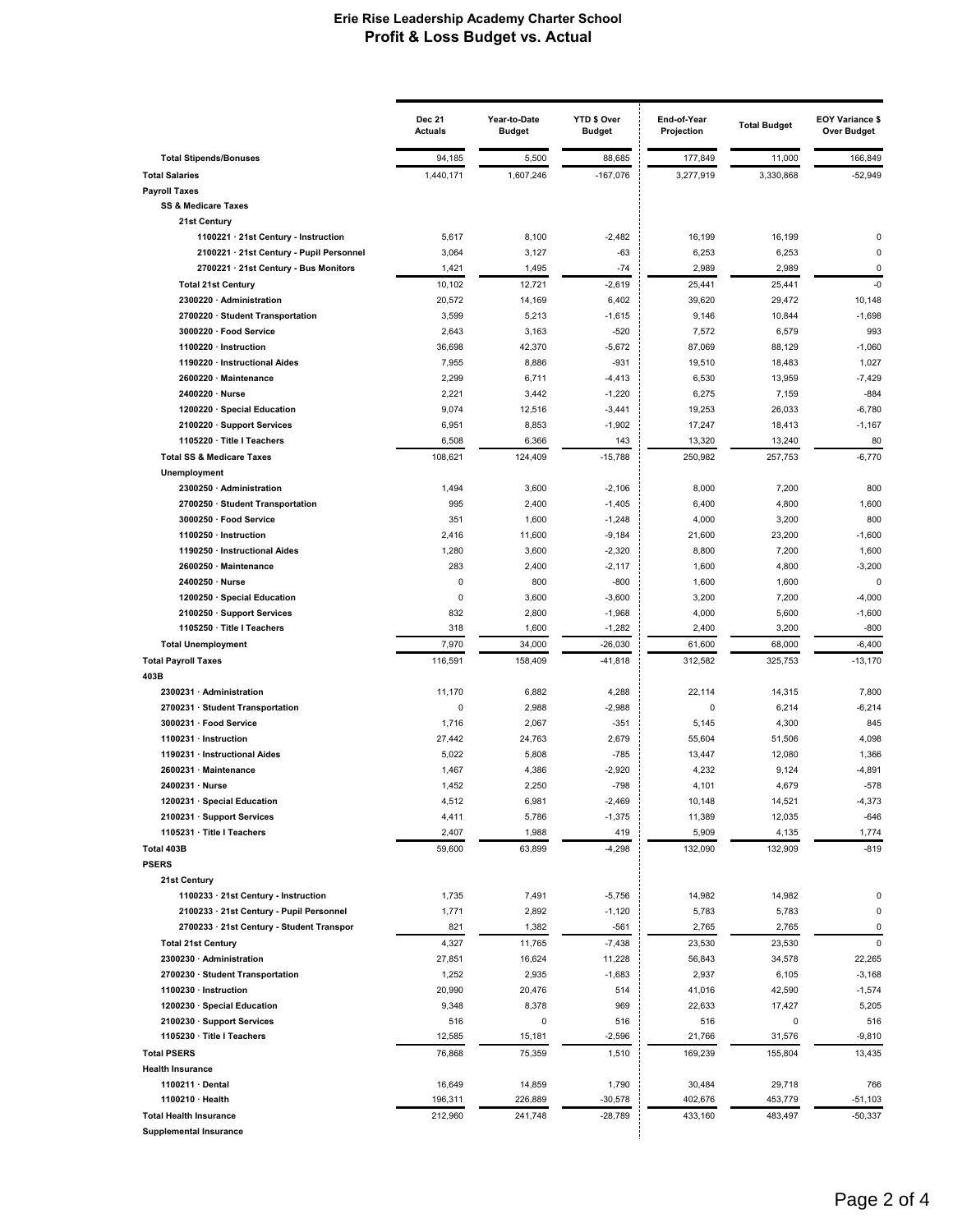|                                                                                  | <b>Dec 21</b><br><b>Actuals</b> | Year-to-Date<br><b>Budget</b> | YTD \$ Over<br><b>Budget</b> | End-of-Year<br>Projection | <b>Total Budget</b> | <b>EOY Variance \$</b><br><b>Over Budget</b> |
|----------------------------------------------------------------------------------|---------------------------------|-------------------------------|------------------------------|---------------------------|---------------------|----------------------------------------------|
| <b>Total Stipends/Bonuses</b>                                                    | 94,185                          | 5,500                         | 88,685                       | 177,849                   | 11,000              | 166,849                                      |
| <b>Total Salaries</b>                                                            | 1,440,171                       | 1,607,246                     | $-167,076$                   | 3,277,919                 | 3,330,868           | $-52,949$                                    |
| <b>Payroll Taxes</b>                                                             |                                 |                               |                              |                           |                     |                                              |
| <b>SS &amp; Medicare Taxes</b>                                                   |                                 |                               |                              |                           |                     |                                              |
| 21st Century                                                                     |                                 |                               |                              |                           |                     |                                              |
| 1100221 · 21st Century - Instruction<br>2100221 · 21st Century - Pupil Personnel | 5,617<br>3,064                  | 8,100<br>3,127                | $-2,482$<br>$-63$            | 16,199<br>6,253           | 16,199<br>6,253     | $\Omega$<br>0                                |
| 2700221 · 21st Century - Bus Monitors                                            | 1,421                           | 1,495                         | $-74$                        | 2,989                     | 2,989               | $\mathbf 0$                                  |
| <b>Total 21st Century</b>                                                        | 10,102                          | 12,721                        | $-2,619$                     | 25,441                    | 25,441              | $-0$                                         |
| 2300220 · Administration                                                         | 20,572                          | 14,169                        | 6,402                        | 39,620                    | 29,472              | 10,148                                       |
| 2700220 · Student Transportation                                                 | 3,599                           | 5,213                         | $-1,615$                     | 9,146                     | 10,844              | $-1,698$                                     |
| 3000220 · Food Service                                                           | 2,643                           | 3,163                         | $-520$                       | 7,572                     | 6,579               | 993                                          |
| 1100220 · Instruction                                                            | 36,698                          | 42,370                        | $-5,672$                     | 87,069                    | 88,129              | $-1,060$                                     |
| 1190220 · Instructional Aides                                                    | 7,955                           | 8,886                         | $-931$                       | 19,510                    | 18,483              | 1,027                                        |
| 2600220 · Maintenance                                                            | 2,299                           | 6,711                         | $-4,413$                     | 6,530                     | 13,959              | $-7,429$<br>$-884$                           |
| 2400220 · Nurse<br>1200220 · Special Education                                   | 2,221<br>9,074                  | 3,442<br>12,516               | $-1,220$<br>$-3,441$         | 6,275<br>19,253           | 7,159<br>26,033     | $-6,780$                                     |
| 2100220 · Support Services                                                       | 6,951                           | 8,853                         | $-1,902$                     | 17,247                    | 18,413              | $-1,167$                                     |
| 1105220 · Title I Teachers                                                       | 6,508                           | 6,366                         | 143                          | 13,320                    | 13,240              | 80                                           |
| <b>Total SS &amp; Medicare Taxes</b>                                             | 108,621                         | 124,409                       | $-15,788$                    | 250,982                   | 257,753             | $-6,770$                                     |
| Unemployment                                                                     |                                 |                               |                              |                           |                     |                                              |
| 2300250 · Administration                                                         | 1,494                           | 3,600                         | $-2,106$                     | 8,000                     | 7,200               | 800                                          |
| 2700250 · Student Transportation                                                 | 995                             | 2,400                         | $-1,405$                     | 6,400                     | 4,800               | 1,600                                        |
| 3000250 · Food Service                                                           | 351                             | 1,600                         | $-1,248$                     | 4,000                     | 3,200               | 800                                          |
| 1100250 · Instruction                                                            | 2,416                           | 11,600                        | $-9,184$                     | 21,600                    | 23,200              | $-1,600$                                     |
| 1190250 · Instructional Aides<br>2600250 · Maintenance                           | 1,280<br>283                    | 3,600<br>2,400                | $-2,320$<br>$-2,117$         | 8,800<br>1,600            | 7,200<br>4,800      | 1,600<br>$-3,200$                            |
| 2400250 · Nurse                                                                  | 0                               | 800                           | $-800$                       | 1,600                     | 1,600               | $\mathbf 0$                                  |
| 1200250 · Special Education                                                      | $\pmb{0}$                       | 3,600                         | $-3,600$                     | 3,200                     | 7,200               | $-4,000$                                     |
| 2100250 · Support Services                                                       | 832                             | 2,800                         | $-1,968$                     | 4,000                     | 5,600               | $-1,600$                                     |
| 1105250 · Title I Teachers                                                       | 318                             | 1,600                         | $-1,282$                     | 2,400                     | 3,200               | $-800$                                       |
| <b>Total Unemployment</b>                                                        | 7,970                           | 34,000                        | $-26,030$                    | 61,600                    | 68,000              | $-6,400$                                     |
| <b>Total Payroll Taxes</b>                                                       | 116,591                         | 158,409                       | $-41,818$                    | 312,582                   | 325,753             | $-13,170$                                    |
| 403B                                                                             |                                 |                               |                              |                           |                     |                                              |
| 2300231 · Administration                                                         | 11,170                          | 6,882                         | 4,288                        | 22,114                    | 14,315              | 7,800                                        |
| 2700231 · Student Transportation                                                 | $\pmb{0}$                       | 2,988                         | $-2,988$                     | 0                         | 6,214               | $-6,214$                                     |
| 3000231 · Food Service<br>1100231 · Instruction                                  | 1,716<br>27,442                 | 2,067<br>24,763               | $-351$<br>2,679              | 5,145<br>55,604           | 4,300<br>51,506     | 845<br>4,098                                 |
| 1190231 · Instructional Aides                                                    | 5,022                           | 5,808                         | $-785$                       | 13,447                    | 12,080              | 1,366                                        |
| 2600231 · Maintenance                                                            | 1,467                           | 4,386                         | $-2,920$                     | 4,232                     | 9,124               | $-4,891$                                     |
| 2400231 · Nurse                                                                  | 1,452                           | 2,250                         | $-798$                       | 4,101                     | 4,679               | $-578$                                       |
| 1200231 · Special Education                                                      | 4,512                           | 6,981                         | $-2,469$                     | 10,148                    | 14,521              | $-4,373$                                     |
| 2100231 · Support Services                                                       | 4,411                           | 5,786                         | $-1,375$                     | 11,389                    | 12,035              | $-646$                                       |
| 1105231 · Title I Teachers                                                       | 2,407                           | 1,988                         | 419                          | 5,909                     | 4,135               | 1,774                                        |
| Total 403B                                                                       | 59,600                          | 63,899                        | $-4,298$                     | 132,090                   | 132,909             | $-819$                                       |
| <b>PSERS</b>                                                                     |                                 |                               |                              |                           |                     |                                              |
| 21st Century<br>1100233 · 21st Century - Instruction                             | 1,735                           | 7,491                         | $-5,756$                     | 14,982                    | 14,982              | 0                                            |
| 2100233 · 21st Century - Pupil Personnel                                         | 1,771                           | 2,892                         | $-1,120$                     | 5,783                     | 5,783               | 0                                            |
| 2700233 · 21st Century - Student Transpor                                        | 821                             | 1,382                         | $-561$                       | 2,765                     | 2,765               | 0                                            |
| <b>Total 21st Century</b>                                                        | 4,327                           | 11,765                        | $-7,438$                     | 23,530                    | 23,530              | $\pmb{0}$                                    |
| 2300230 · Administration                                                         | 27,851                          | 16,624                        | 11,228                       | 56,843                    | 34,578              | 22,265                                       |
| 2700230 · Student Transportation                                                 | 1,252                           | 2,935                         | $-1,683$                     | 2,937                     | 6,105               | $-3,168$                                     |
| 1100230 · Instruction                                                            | 20,990                          | 20,476                        | 514                          | 41,016                    | 42,590              | $-1,574$                                     |
| 1200230 · Special Education                                                      | 9,348                           | 8,378                         | 969                          | 22,633                    | 17,427              | 5,205                                        |
| 2100230 · Support Services                                                       | 516                             | 0                             | 516                          | 516                       | 0                   | 516                                          |
| 1105230 · Title I Teachers                                                       | 12,585                          | 15,181                        | $-2,596$                     | 21,766                    | 31,576              | $-9,810$                                     |
| <b>Total PSERS</b>                                                               | 76,868                          | 75,359                        | 1,510                        | 169,239                   | 155,804             | 13,435                                       |
| <b>Health Insurance</b><br>1100211 · Dental                                      | 16,649                          | 14,859                        | 1,790                        | 30,484                    | 29,718              | 766                                          |
| 1100210 · Health                                                                 | 196,311                         | 226,889                       | $-30,578$                    | 402,676                   | 453,779             | -51,103                                      |
| <b>Total Health Insurance</b>                                                    | 212,960                         | 241,748                       | $-28,789$                    | 433,160                   | 483,497             | $-50,337$                                    |
| <b>Supplemental Insurance</b>                                                    |                                 |                               |                              |                           |                     |                                              |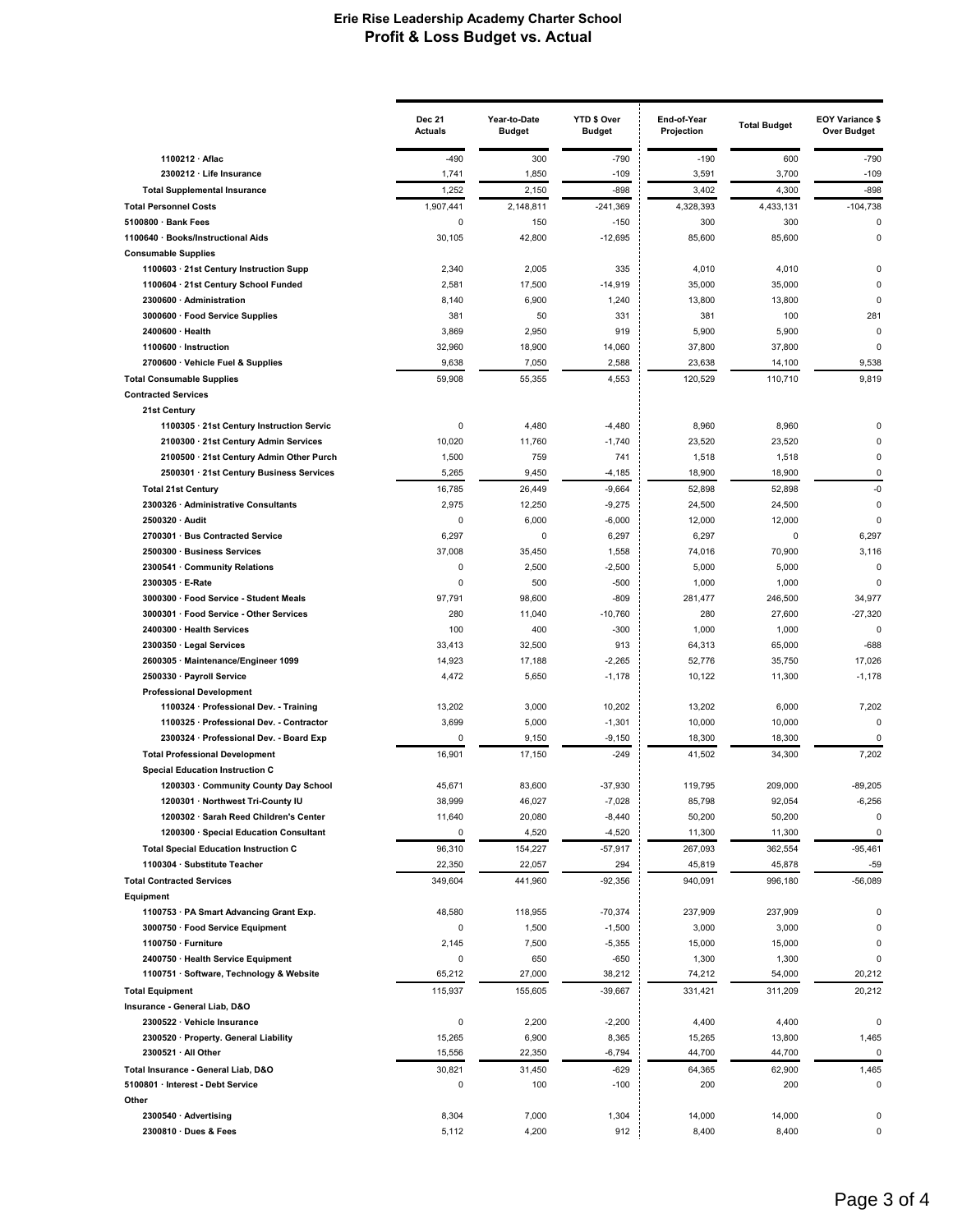|                                                                                 | <b>Dec 21</b><br><b>Actuals</b> | Year-to-Date<br><b>Budget</b> | YTD \$ Over<br><b>Budget</b> | End-of-Year<br>Projection | <b>Total Budget</b> | <b>EOY Variance \$</b><br><b>Over Budget</b> |
|---------------------------------------------------------------------------------|---------------------------------|-------------------------------|------------------------------|---------------------------|---------------------|----------------------------------------------|
| 1100212 · Aflac                                                                 | $-490$                          | 300                           | $-790$                       | $-190$                    | 600                 | $-790$                                       |
| 2300212 · Life Insurance                                                        | 1,741                           | 1,850                         | $-109$                       | 3,591                     | 3,700               | $-109$                                       |
| <b>Total Supplemental Insurance</b>                                             | 1,252                           | 2,150                         | -898                         | 3,402                     | 4,300               | $-898$                                       |
| <b>Total Personnel Costs</b>                                                    | 1,907,441                       | 2,148,811                     | $-241,369$                   | 4,328,393                 | 4,433,131           | $-104,738$                                   |
| 5100800 · Bank Fees                                                             | 0                               | 150                           | $-150$                       | 300                       | 300                 | 0                                            |
| 1100640 · Books/Instructional Aids                                              | 30,105                          | 42,800                        | $-12,695$                    | 85,600                    | 85,600              | 0                                            |
| <b>Consumable Supplies</b>                                                      |                                 |                               |                              |                           |                     |                                              |
| 1100603 · 21st Century Instruction Supp                                         | 2,340                           | 2,005                         | 335<br>$-14.919$             | 4,010                     | 4,010               | $\Omega$<br>$\Omega$                         |
| 1100604 · 21st Century School Funded<br>2300600 · Administration                | 2,581<br>8,140                  | 17,500<br>6,900               | 1,240                        | 35,000<br>13,800          | 35,000<br>13,800    | 0                                            |
| 3000600 · Food Service Supplies                                                 | 381                             | 50                            | 331                          | 381                       | 100                 | 281                                          |
| 2400600 · Health                                                                | 3,869                           | 2,950                         | 919                          | 5,900                     | 5,900               | 0                                            |
| 1100600 · Instruction                                                           | 32,960                          | 18,900                        | 14,060                       | 37,800                    | 37,800              | $\Omega$                                     |
| 2700600 · Vehicle Fuel & Supplies                                               | 9,638                           | 7,050                         | 2,588                        | 23,638                    | 14,100              | 9,538                                        |
| <b>Total Consumable Supplies</b>                                                | 59,908                          | 55,355                        | 4,553                        | 120,529                   | 110,710             | 9,819                                        |
| <b>Contracted Services</b>                                                      |                                 |                               |                              |                           |                     |                                              |
| 21st Century                                                                    |                                 |                               |                              |                           |                     |                                              |
| 1100305 · 21st Century Instruction Servic                                       | $\pmb{0}$                       | 4,480                         | $-4,480$                     | 8,960                     | 8,960               | 0                                            |
| 2100300 · 21st Century Admin Services                                           | 10,020                          | 11,760                        | $-1,740$                     | 23,520                    | 23,520              | $\Omega$                                     |
| 2100500 · 21st Century Admin Other Purch                                        | 1,500                           | 759                           | 741                          | 1,518                     | 1,518               | 0                                            |
| 2500301 · 21st Century Business Services                                        | 5,265                           | 9,450                         | $-4,185$                     | 18,900                    | 18,900              | 0                                            |
| <b>Total 21st Century</b>                                                       | 16,785                          | 26,449                        | $-9,664$                     | 52,898                    | 52,898              | -0                                           |
| 2300326 · Administrative Consultants                                            | 2,975                           | 12,250                        | $-9,275$                     | 24,500                    | 24,500              | 0                                            |
| 2500320 · Audit                                                                 | $\pmb{0}$                       | 6,000                         | $-6,000$                     | 12,000                    | 12,000              | 0                                            |
| 2700301 · Bus Contracted Service<br>2500300 · Business Services                 | 6,297<br>37,008                 | 0<br>35,450                   | 6,297<br>1,558               | 6,297<br>74,016           | 0<br>70,900         | 6,297<br>3,116                               |
| 2300541 · Community Relations                                                   | $\pmb{0}$                       | 2,500                         | $-2,500$                     | 5,000                     | 5,000               | 0                                            |
| 2300305 · E-Rate                                                                | $\mathbf 0$                     | 500                           | $-500$                       | 1,000                     | 1,000               | $\Omega$                                     |
| 3000300 · Food Service - Student Meals                                          | 97,791                          | 98,600                        | $-809$                       | 281,477                   | 246,500             | 34,977                                       |
| 3000301 · Food Service - Other Services                                         | 280                             | 11,040                        | $-10,760$                    | 280                       | 27,600              | $-27,320$                                    |
| 2400300 · Health Services                                                       | 100                             | 400                           | $-300$                       | 1,000                     | 1,000               | 0                                            |
| 2300350 · Legal Services                                                        | 33,413                          | 32,500                        | 913                          | 64,313                    | 65,000              | $-688$                                       |
| 2600305 · Maintenance/Engineer 1099                                             | 14,923                          | 17,188                        | $-2,265$                     | 52,776                    | 35,750              | 17,026                                       |
| 2500330 · Payroll Service                                                       | 4,472                           | 5,650                         | $-1,178$                     | 10,122                    | 11,300              | $-1,178$                                     |
| <b>Professional Development</b>                                                 |                                 |                               |                              |                           |                     |                                              |
| 1100324 · Professional Dev. - Training                                          | 13,202                          | 3,000                         | 10,202                       | 13,202                    | 6,000               | 7,202                                        |
| 1100325 · Professional Dev. - Contractor                                        | 3,699                           | 5,000                         | $-1,301$                     | 10,000                    | 10,000              | 0                                            |
| 2300324 · Professional Dev. - Board Exp                                         | $\pmb{0}$                       | 9,150                         | $-9,150$                     | 18,300                    | 18,300              | 0                                            |
| <b>Total Professional Development</b>                                           | 16,901                          | 17,150                        | $-249$                       | 41,502                    | 34,300              | 7,202                                        |
| <b>Special Education Instruction C</b><br>1200303 · Community County Day School |                                 |                               |                              |                           |                     |                                              |
|                                                                                 | 45,671                          | 83,600                        | $-37,930$<br>$-7,028$        | 119,795                   | 209,000<br>92,054   | $-89,205$<br>$-6,256$                        |
| 1200301 · Northwest Tri-County IU<br>1200302 · Sarah Reed Children's Center     | 38,999<br>11,640                | 46,027<br>20,080              | $-8,440$                     | 85,798<br>50,200          | 50,200              | 0                                            |
| 1200300 · Special Education Consultant                                          | 0                               | 4,520                         | $-4,520$                     | 11,300                    | 11,300              | $\pmb{0}$                                    |
| <b>Total Special Education Instruction C</b>                                    | 96,310                          | 154,227                       | $-57,917$                    | 267,093                   | 362,554             | $-95,461$                                    |
| 1100304 · Substitute Teacher                                                    | 22,350                          | 22,057                        | 294                          | 45,819                    | 45,878              | $-59$                                        |
| <b>Total Contracted Services</b>                                                | 349,604                         | 441,960                       | $-92,356$                    | 940,091                   | 996,180             | $-56,089$                                    |
| Equipment                                                                       |                                 |                               |                              |                           |                     |                                              |
| 1100753 · PA Smart Advancing Grant Exp.                                         | 48,580                          | 118,955                       | $-70,374$                    | 237,909                   | 237,909             | 0                                            |
| 3000750 · Food Service Equipment                                                | $\pmb{0}$                       | 1,500                         | $-1,500$                     | 3,000                     | 3,000               | 0                                            |
| 1100750 · Furniture                                                             | 2,145                           | 7,500                         | $-5,355$                     | 15,000                    | 15,000              | 0                                            |
| 2400750 · Health Service Equipment                                              | 0                               | 650                           | $-650$                       | 1,300                     | 1,300               | 0                                            |
| 1100751 · Software, Technology & Website                                        | 65,212                          | 27,000                        | 38,212                       | 74,212                    | 54,000              | 20,212                                       |
| <b>Total Equipment</b>                                                          | 115,937                         | 155,605                       | $-39,667$                    | 331,421                   | 311,209             | 20,212                                       |
| Insurance - General Liab, D&O                                                   |                                 |                               |                              |                           |                     |                                              |
| 2300522 · Vehicle Insurance                                                     | $\pmb{0}$                       | 2,200                         | $-2,200$                     | 4,400                     | 4,400               | 0                                            |
| 2300520 · Property. General Liability<br>2300521 · All Other                    | 15,265                          | 6,900<br>22,350               | 8,365<br>$-6,794$            | 15,265<br>44,700          | 13,800<br>44,700    | 1,465<br>$\pmb{0}$                           |
| Total Insurance - General Liab, D&O                                             | 15,556<br>30,821                |                               | -629                         | 64,365                    | 62,900              |                                              |
| 5100801 · Interest - Debt Service                                               | 0                               | 31,450<br>100                 | $-100$                       | 200                       | 200                 | 1,465<br>0                                   |
| Other                                                                           |                                 |                               |                              |                           |                     |                                              |
| 2300540 · Advertising                                                           | 8,304                           | 7,000                         | 1,304                        | 14,000                    | 14,000              | 0                                            |
| 2300810 · Dues & Fees                                                           | 5,112                           | 4,200                         | 912                          | 8,400                     | 8,400               | 0                                            |